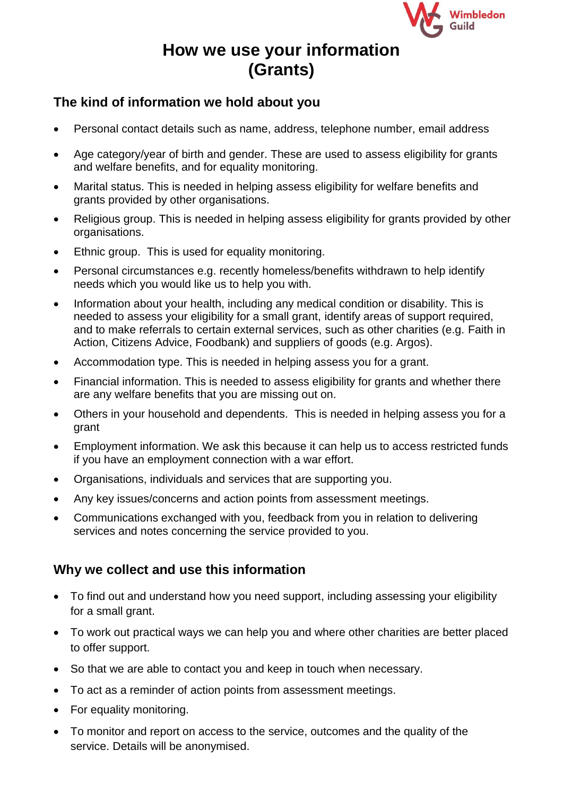

# **How we use your information (Grants)**

## **The kind of information we hold about you**

- Personal contact details such as name, address, telephone number, email address
- Age category/year of birth and gender. These are used to assess eligibility for grants and welfare benefits, and for equality monitoring.
- Marital status. This is needed in helping assess eligibility for welfare benefits and grants provided by other organisations.
- Religious group. This is needed in helping assess eligibility for grants provided by other organisations.
- Ethnic group. This is used for equality monitoring.
- Personal circumstances e.g. recently homeless/benefits withdrawn to help identify needs which you would like us to help you with.
- Information about your health, including any medical condition or disability. This is needed to assess your eligibility for a small grant, identify areas of support required, and to make referrals to certain external services, such as other charities (e.g. Faith in Action, Citizens Advice, Foodbank) and suppliers of goods (e.g. Argos).
- Accommodation type. This is needed in helping assess you for a grant.
- Financial information. This is needed to assess eligibility for grants and whether there are any welfare benefits that you are missing out on.
- Others in your household and dependents. This is needed in helping assess you for a grant
- Employment information. We ask this because it can help us to access restricted funds if you have an employment connection with a war effort.
- Organisations, individuals and services that are supporting you.
- Any key issues/concerns and action points from assessment meetings.
- Communications exchanged with you, feedback from you in relation to delivering services and notes concerning the service provided to you.

## **Why we collect and use this information**

- To find out and understand how you need support, including assessing your eligibility for a small grant.
- To work out practical ways we can help you and where other charities are better placed to offer support.
- So that we are able to contact you and keep in touch when necessary.
- To act as a reminder of action points from assessment meetings.
- For equality monitoring.
- To monitor and report on access to the service, outcomes and the quality of the service. Details will be anonymised.